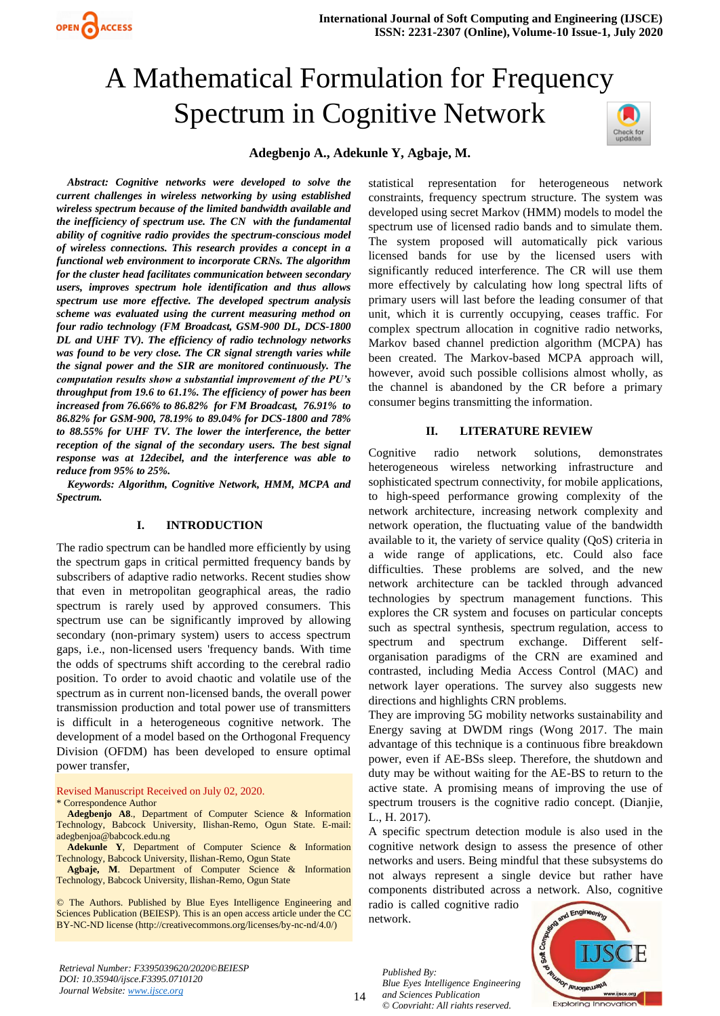

# A Mathematical Formulation for Frequency Spectrum in Cognitive Network



# **Adegbenjo A., Adekunle Y, Agbaje, M.**

*Abstract: Cognitive networks were developed to solve the current challenges in wireless networking by using established wireless spectrum because of the limited bandwidth available and the inefficiency of spectrum use. The CN with the fundamental ability of cognitive radio provides the spectrum-conscious model of wireless connections. This research provides a concept in a functional web environment to incorporate CRNs. The algorithm for the cluster head facilitates communication between secondary users, improves spectrum hole identification and thus allows spectrum use more effective. The developed spectrum analysis scheme was evaluated using the current measuring method on four radio technology (FM Broadcast, GSM-900 DL, DCS-1800 DL and UHF TV). The efficiency of radio technology networks was found to be very close. The CR signal strength varies while the signal power and the SIR are monitored continuously. The computation results show a substantial improvement of the PU's throughput from 19.6 to 61.1%. The efficiency of power has been increased from 76.66% to 86.82% for FM Broadcast, 76.91% to 86.82% for GSM-900, 78.19% to 89.04% for DCS-1800 and 78% to 88.55% for UHF TV. The lower the interference, the better reception of the signal of the secondary users. The best signal response was at 12decibel, and the interference was able to reduce from 95% to 25%.* 

*Keywords: Algorithm, Cognitive Network, HMM, MCPA and Spectrum.*

## **I. INTRODUCTION**

The radio spectrum can be handled more efficiently by using the spectrum gaps in critical permitted frequency bands by subscribers of adaptive radio networks. Recent studies show that even in metropolitan geographical areas, the radio spectrum is rarely used by approved consumers. This spectrum use can be significantly improved by allowing secondary (non-primary system) users to access spectrum gaps, i.e., non-licensed users 'frequency bands. With time the odds of spectrums shift according to the cerebral radio position. To order to avoid chaotic and volatile use of the spectrum as in current non-licensed bands, the overall power transmission production and total power use of transmitters is difficult in a heterogeneous cognitive network. The development of a model based on the Orthogonal Frequency Division (OFDM) has been developed to ensure optimal power transfer,

Revised Manuscript Received on July 02, 2020.

\* Correspondence Author

OPEN CACCESS

**Adegbenjo A8**., Department of Computer Science & Information Technology, Babcock University, Ilishan-Remo, Ogun State. E-mail: [adegbenjoa@babcock.edu.ng](mailto:adegbenjoa@babcock.edu.ng)

**Adekunle Y**, Department of Computer Science & Information Technology, Babcock University, Ilishan-Remo, Ogun State

**Agbaje, M**. Department of Computer Science & Information Technology, Babcock University, Ilishan-Remo, Ogun State

© The Authors. Published by Blue Eyes Intelligence Engineering and Sciences Publication (BEIESP). This is an [open access](https://www.openaccess.nl/en/open-publications) article under the CC BY-NC-ND license [\(http://creativecommons.org/licenses/by-nc-nd/4.0/\)](http://creativecommons.org/licenses/by-nc-nd/4.0/)

*Retrieval Number: F3395039620/2020©BEIESP DOI: 10.35940/ijsce.F3395.0710120 Journal Website: [www.ijsce.org](http://www.ijsce.org/)*

statistical representation for heterogeneous network constraints, frequency spectrum structure. The system was developed using secret Markov (HMM) models to model the spectrum use of licensed radio bands and to simulate them. The system proposed will automatically pick various licensed bands for use by the licensed users with significantly reduced interference. The CR will use them more effectively by calculating how long spectral lifts of primary users will last before the leading consumer of that unit, which it is currently occupying, ceases traffic. For complex spectrum allocation in cognitive radio networks, Markov based channel prediction algorithm (MCPA) has been created. The Markov-based MCPA approach will, however, avoid such possible collisions almost wholly, as the channel is abandoned by the CR before a primary consumer begins transmitting the information.

## **II. LITERATURE REVIEW**

Cognitive radio network solutions, demonstrates heterogeneous wireless networking infrastructure and sophisticated spectrum connectivity, for mobile applications, to high-speed performance growing complexity of the network architecture, increasing network complexity and network operation, the fluctuating value of the bandwidth available to it, the variety of service quality (QoS) criteria in a wide range of applications, etc. Could also face difficulties. These problems are solved, and the new network architecture can be tackled through advanced technologies by spectrum management functions. This explores the CR system and focuses on particular concepts such as spectral synthesis, spectrum regulation, access to spectrum and spectrum exchange. Different selforganisation paradigms of the CRN are examined and contrasted, including Media Access Control (MAC) and network layer operations. The survey also suggests new directions and highlights CRN problems.

They are improving 5G mobility networks sustainability and Energy saving at DWDM rings (Wong 2017. The main advantage of this technique is a continuous fibre breakdown power, even if AE-BSs sleep. Therefore, the shutdown and duty may be without waiting for the AE-BS to return to the active state. A promising means of improving the use of spectrum trousers is the cognitive radio concept. (Dianjie, L., H. 2017).

A specific spectrum detection module is also used in the cognitive network design to assess the presence of other networks and users. Being mindful that these subsystems do not always represent a single device but rather have components distributed across a network. Also, cognitive

radio is called cognitive radio network.

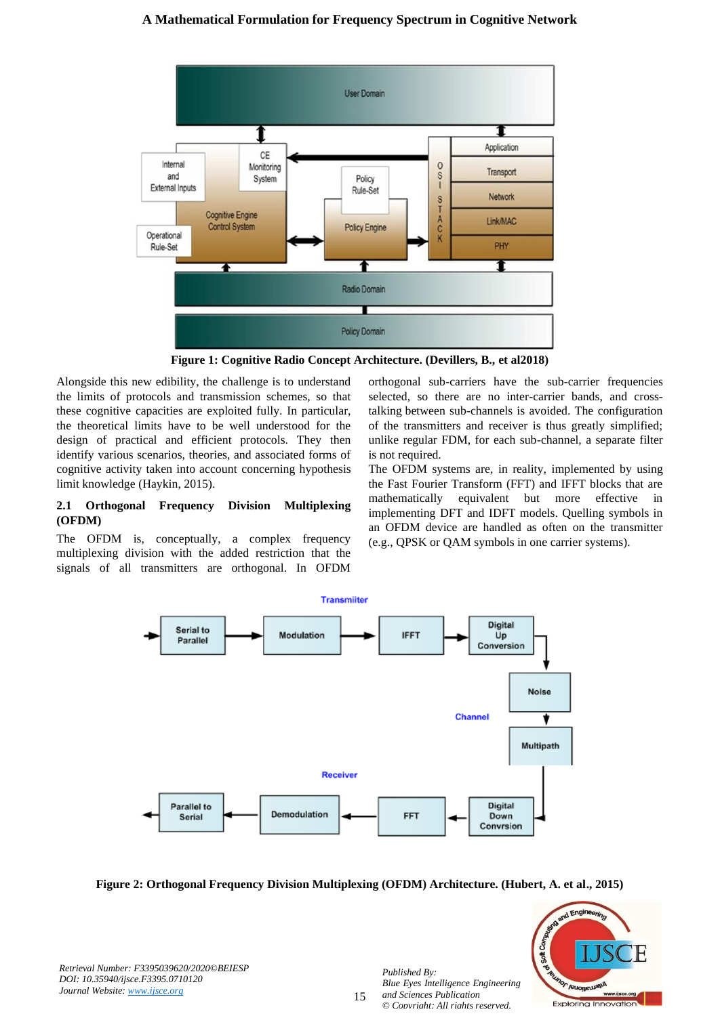# **A Mathematical Formulation for Frequency Spectrum in Cognitive Network**



**Figure 1: Cognitive Radio Concept Architecture. (Devillers, B., et al2018)**

Alongside this new edibility, the challenge is to understand the limits of protocols and transmission schemes, so that these cognitive capacities are exploited fully. In particular, the theoretical limits have to be well understood for the design of practical and efficient protocols. They then identify various scenarios, theories, and associated forms of cognitive activity taken into account concerning hypothesis limit knowledge (Haykin, 2015).

## **2.1 Orthogonal Frequency Division Multiplexing (OFDM)**

The OFDM is, conceptually, a complex frequency multiplexing division with the added restriction that the signals of all transmitters are orthogonal. In OFDM orthogonal sub-carriers have the sub-carrier frequencies selected, so there are no inter-carrier bands, and crosstalking between sub-channels is avoided. The configuration of the transmitters and receiver is thus greatly simplified; unlike regular FDM, for each sub-channel, a separate filter is not required.

The OFDM systems are, in reality, implemented by using the Fast Fourier Transform (FFT) and IFFT blocks that are mathematically equivalent but more effective in implementing DFT and IDFT models. Quelling symbols in an OFDM device are handled as often on the transmitter (e.g., QPSK or QAM symbols in one carrier systems).



**Figure 2: Orthogonal Frequency Division Multiplexing (OFDM) Architecture. (Hubert, A. et al., 2015)**



*Retrieval Number: F3395039620/2020©BEIESP DOI: 10.35940/ijsce.F3395.0710120 Journal Website: [www.ijsce.org](http://www.ijsce.org/)*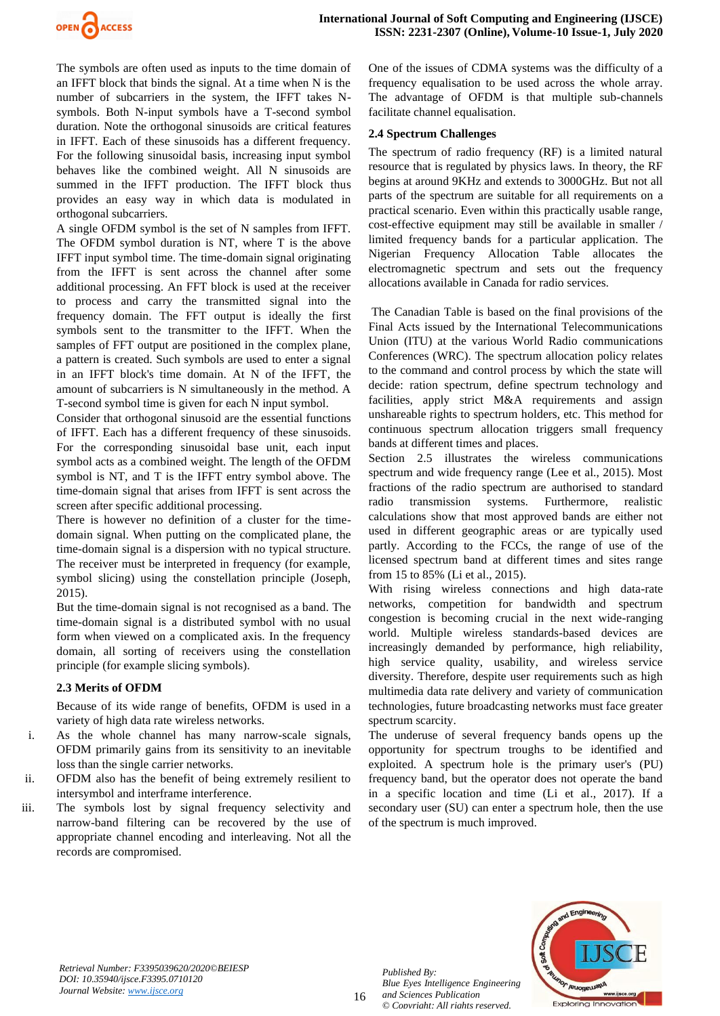

The symbols are often used as inputs to the time domain of an IFFT block that binds the signal. At a time when N is the number of subcarriers in the system, the IFFT takes Nsymbols. Both N-input symbols have a T-second symbol duration. Note the orthogonal sinusoids are critical features in IFFT. Each of these sinusoids has a different frequency. For the following sinusoidal basis, increasing input symbol behaves like the combined weight. All N sinusoids are summed in the IFFT production. The IFFT block thus provides an easy way in which data is modulated in orthogonal subcarriers.

A single OFDM symbol is the set of N samples from IFFT. The OFDM symbol duration is NT, where T is the above IFFT input symbol time. The time-domain signal originating from the IFFT is sent across the channel after some additional processing. An FFT block is used at the receiver to process and carry the transmitted signal into the frequency domain. The FFT output is ideally the first symbols sent to the transmitter to the IFFT. When the samples of FFT output are positioned in the complex plane, a pattern is created. Such symbols are used to enter a signal in an IFFT block's time domain. At N of the IFFT, the amount of subcarriers is N simultaneously in the method. A T-second symbol time is given for each N input symbol.

Consider that orthogonal sinusoid are the essential functions of IFFT. Each has a different frequency of these sinusoids. For the corresponding sinusoidal base unit, each input symbol acts as a combined weight. The length of the OFDM symbol is NT, and T is the IFFT entry symbol above. The time-domain signal that arises from IFFT is sent across the screen after specific additional processing.

There is however no definition of a cluster for the timedomain signal. When putting on the complicated plane, the time-domain signal is a dispersion with no typical structure. The receiver must be interpreted in frequency (for example, symbol slicing) using the constellation principle (Joseph, 2015).

But the time-domain signal is not recognised as a band. The time-domain signal is a distributed symbol with no usual form when viewed on a complicated axis. In the frequency domain, all sorting of receivers using the constellation principle (for example slicing symbols).

## **2.3 Merits of OFDM**

Because of its wide range of benefits, OFDM is used in a variety of high data rate wireless networks.

- i. As the whole channel has many narrow-scale signals, OFDM primarily gains from its sensitivity to an inevitable loss than the single carrier networks.
- ii. OFDM also has the benefit of being extremely resilient to intersymbol and interframe interference.
- iii. The symbols lost by signal frequency selectivity and narrow-band filtering can be recovered by the use of appropriate channel encoding and interleaving. Not all the records are compromised.

One of the issues of CDMA systems was the difficulty of a frequency equalisation to be used across the whole array. The advantage of OFDM is that multiple sub-channels facilitate channel equalisation.

## **2.4 Spectrum Challenges**

The spectrum of radio frequency (RF) is a limited natural resource that is regulated by physics laws. In theory, the RF begins at around 9KHz and extends to 3000GHz. But not all parts of the spectrum are suitable for all requirements on a practical scenario. Even within this practically usable range, cost-effective equipment may still be available in smaller / limited frequency bands for a particular application. The Nigerian Frequency Allocation Table allocates the electromagnetic spectrum and sets out the frequency allocations available in Canada for radio services.

The Canadian Table is based on the final provisions of the Final Acts issued by the International Telecommunications Union (ITU) at the various World Radio communications Conferences (WRC). The spectrum allocation policy relates to the command and control process by which the state will decide: ration spectrum, define spectrum technology and facilities, apply strict M&A requirements and assign unshareable rights to spectrum holders, etc. This method for continuous spectrum allocation triggers small frequency bands at different times and places.

Section 2.5 illustrates the wireless communications spectrum and wide frequency range (Lee et al., 2015). Most fractions of the radio spectrum are authorised to standard radio transmission systems. Furthermore, realistic calculations show that most approved bands are either not used in different geographic areas or are typically used partly. According to the FCCs, the range of use of the licensed spectrum band at different times and sites range from 15 to 85% (Li et al., 2015).

With rising wireless connections and high data-rate networks, competition for bandwidth and spectrum congestion is becoming crucial in the next wide-ranging world. Multiple wireless standards-based devices are increasingly demanded by performance, high reliability, high service quality, usability, and wireless service diversity. Therefore, despite user requirements such as high multimedia data rate delivery and variety of communication technologies, future broadcasting networks must face greater spectrum scarcity.

The underuse of several frequency bands opens up the opportunity for spectrum troughs to be identified and exploited. A spectrum hole is the primary user's (PU) frequency band, but the operator does not operate the band in a specific location and time (Li et al., 2017). If a secondary user (SU) can enter a spectrum hole, then the use of the spectrum is much improved.



*Retrieval Number: F3395039620/2020©BEIESP DOI: 10.35940/ijsce.F3395.0710120 Journal Website: [www.ijsce.org](http://www.ijsce.org/)*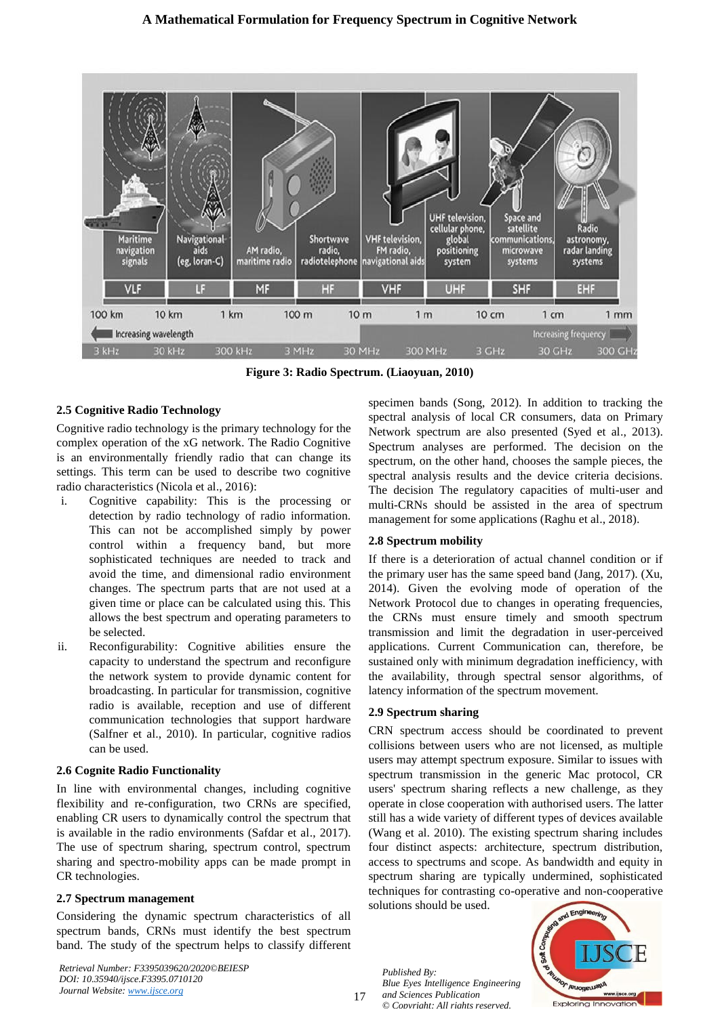

**Figure 3: Radio Spectrum. (Liaoyuan, 2010)**

## **2.5 Cognitive Radio Technology**

Cognitive radio technology is the primary technology for the complex operation of the xG network. The Radio Cognitive is an environmentally friendly radio that can change its settings. This term can be used to describe two cognitive radio characteristics (Nicola et al., 2016):

- i. Cognitive capability: This is the processing or detection by radio technology of radio information. This can not be accomplished simply by power control within a frequency band, but more sophisticated techniques are needed to track and avoid the time, and dimensional radio environment changes. The spectrum parts that are not used at a given time or place can be calculated using this. This allows the best spectrum and operating parameters to be selected.
- ii. Reconfigurability: Cognitive abilities ensure the capacity to understand the spectrum and reconfigure the network system to provide dynamic content for broadcasting. In particular for transmission, cognitive radio is available, reception and use of different communication technologies that support hardware (Salfner et al., 2010). In particular, cognitive radios can be used.

## **2.6 Cognite Radio Functionality**

In line with environmental changes, including cognitive flexibility and re-configuration, two CRNs are specified, enabling CR users to dynamically control the spectrum that is available in the radio environments (Safdar et al., 2017). The use of spectrum sharing, spectrum control, spectrum sharing and spectro-mobility apps can be made prompt in CR technologies.

## **2.7 Spectrum management**

Considering the dynamic spectrum characteristics of all spectrum bands, CRNs must identify the best spectrum band. The study of the spectrum helps to classify different

*Retrieval Number: F3395039620/2020©BEIESP DOI: 10.35940/ijsce.F3395.0710120 Journal Website: [www.ijsce.org](http://www.ijsce.org/)*

specimen bands (Song, 2012). In addition to tracking the spectral analysis of local CR consumers, data on Primary Network spectrum are also presented (Syed et al., 2013). Spectrum analyses are performed. The decision on the spectrum, on the other hand, chooses the sample pieces, the spectral analysis results and the device criteria decisions. The decision The regulatory capacities of multi-user and multi-CRNs should be assisted in the area of spectrum management for some applications (Raghu et al., 2018).

## **2.8 Spectrum mobility**

If there is a deterioration of actual channel condition or if the primary user has the same speed band (Jang, 2017). (Xu, 2014). Given the evolving mode of operation of the Network Protocol due to changes in operating frequencies, the CRNs must ensure timely and smooth spectrum transmission and limit the degradation in user-perceived applications. Current Communication can, therefore, be sustained only with minimum degradation inefficiency, with the availability, through spectral sensor algorithms, of latency information of the spectrum movement.

## **2.9 Spectrum sharing**

CRN spectrum access should be coordinated to prevent collisions between users who are not licensed, as multiple users may attempt spectrum exposure. Similar to issues with spectrum transmission in the generic Mac protocol, CR users' spectrum sharing reflects a new challenge, as they operate in close cooperation with authorised users. The latter still has a wide variety of different types of devices available (Wang et al. 2010). The existing spectrum sharing includes four distinct aspects: architecture, spectrum distribution, access to spectrums and scope. As bandwidth and equity in spectrum sharing are typically undermined, sophisticated techniques for contrasting co-operative and non-cooperative solutions should be used.

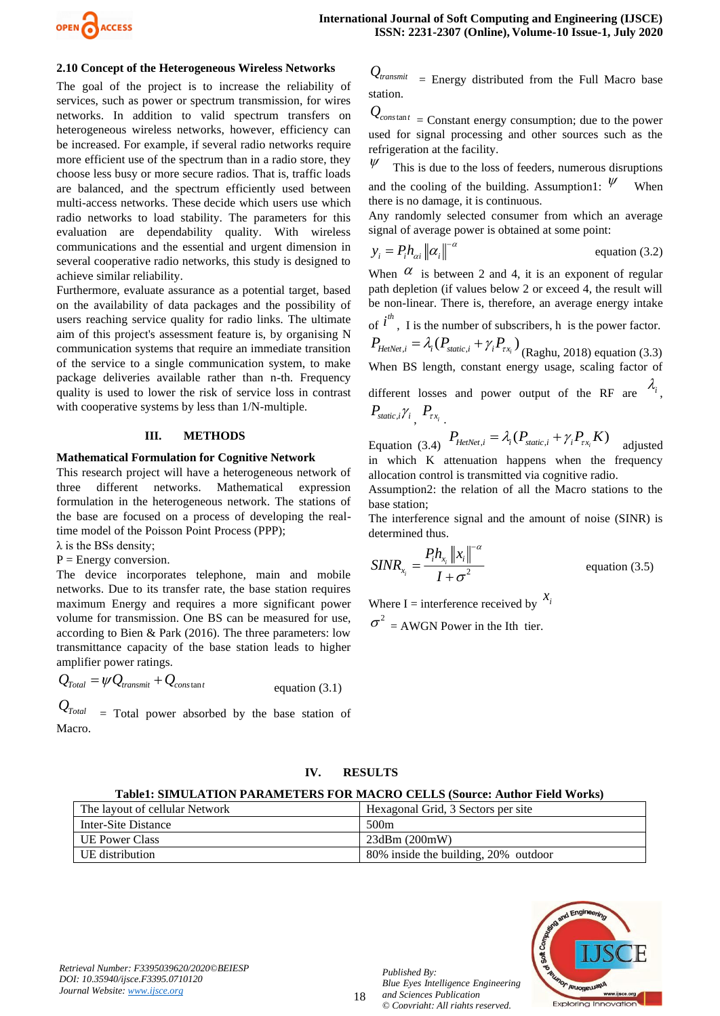

## **2.10 Concept of the Heterogeneous Wireless Networks**

The goal of the project is to increase the reliability of services, such as power or spectrum transmission, for wires networks. In addition to valid spectrum transfers on heterogeneous wireless networks, however, efficiency can be increased. For example, if several radio networks require more efficient use of the spectrum than in a radio store, they choose less busy or more secure radios. That is, traffic loads are balanced, and the spectrum efficiently used between multi-access networks. These decide which users use which radio networks to load stability. The parameters for this evaluation are dependability quality. With wireless communications and the essential and urgent dimension in several cooperative radio networks, this study is designed to achieve similar reliability.

Furthermore, evaluate assurance as a potential target, based on the availability of data packages and the possibility of users reaching service quality for radio links. The ultimate aim of this project's assessment feature is, by organising N communication systems that require an immediate transition of the service to a single communication system, to make package deliveries available rather than n-th. Frequency quality is used to lower the risk of service loss in contrast with cooperative systems by less than 1/N-multiple.

#### **III. METHODS**

## **Mathematical Formulation for Cognitive Network**

This research project will have a heterogeneous network of three different networks. Mathematical expression formulation in the heterogeneous network. The stations of the base are focused on a process of developing the realtime model of the Poisson Point Process (PPP);

 $\lambda$  is the BSs density;

 $P =$  Energy conversion.

The device incorporates telephone, main and mobile networks. Due to its transfer rate, the base station requires maximum Energy and requires a more significant power volume for transmission. One BS can be measured for use, according to Bien & Park (2016). The three parameters: low transmittance capacity of the base station leads to higher amplifier power ratings.

$$
Q_{\text{Total}} = \psi Q_{\text{transmit}} + Q_{\text{constant}}
$$
 equation (3.1)

*QTotal* = Total power absorbed by the base station of Macro.

 $Q_{transmit}$  = Energy distributed from the Full Macro base station.

 $Q_{constant}$  = Constant energy consumption; due to the power used for signal processing and other sources such as the refrigeration at the facility.

 $\psi$ This is due to the loss of feeders, numerous disruptions and the cooling of the building. Assumption1:  $\psi$ When there is no damage, it is continuous.

Any randomly selected consumer from which an average signal of average power is obtained at some point:

$$
y_i = P_i h_{\alpha i} ||\alpha_i||^{-\alpha}
$$
 equation (3.2)

When  $\alpha$  is between 2 and 4, it is an exponent of regular path depletion (if values below 2 or exceed 4, the result will be non-linear. There is, therefore, an average energy intake

of  $i^{th}$ , I is the number of subscribers, h is the power factor.

 $P_{HeiNet,i} = \lambda_i (P_{static,i} + \gamma_i P_{\tau x_i})$  (Raghu, 2018) equation (3.3) When BS length, constant energy usage, scaling factor of

different losses and power output of the RF are  $\lambda_i$ ,  $P_{\textit{static},i}$  $\gamma_i$ <sub>,</sub>  $P_{\textit{rx}_i}$ <sub>.</sub>

Equation (3.4) 
$$
P_{HetNet,i} = \lambda_i (P_{static,i} + \gamma_i P_{xx_i} K)
$$
 adjusted

in which K attenuation happens when the frequency allocation control is transmitted via cognitive radio.

Assumption2: the relation of all the Macro stations to the base station;

The interference signal and the amount of noise (SINR) is determined thus.

$$
SINR_{x_i} = \frac{P_i h_{x_i} ||x_i||^{-\alpha}}{I + \sigma^2}
$$
 equation (3.5)

Where I = interference received by  $\frac{x_i}{x_i}$  $\sigma^2$  = AWGN Power in the Ith tier.

#### **IV. RESULTS**

#### **Table1: SIMULATION PARAMETERS FOR MACRO CELLS (Source: Author Field Works)**

|                       | The layout of cellular Network | Hexagonal Grid, 3 Sectors per site   |  |  |  |  |
|-----------------------|--------------------------------|--------------------------------------|--|--|--|--|
|                       | Inter-Site Distance            | 500 <sub>m</sub>                     |  |  |  |  |
| <b>UE Power Class</b> |                                | $23$ dBm $(200mW)$                   |  |  |  |  |
|                       | UE distribution                | 80% inside the building, 20% outdoor |  |  |  |  |

18



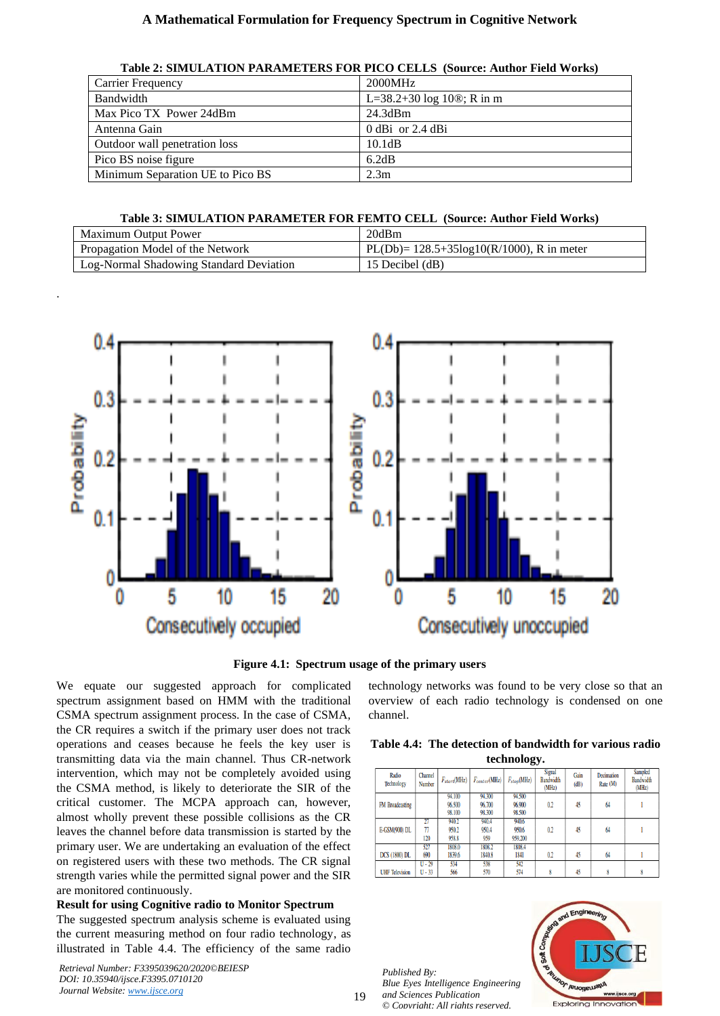## **A Mathematical Formulation for Frequency Spectrum in Cognitive Network**

| Table 2: SIMULATION PARAMETERS FOR PICO CELLS (Source: Author Field Works) |  |  |  |
|----------------------------------------------------------------------------|--|--|--|
|----------------------------------------------------------------------------|--|--|--|

| <b>Carrier Frequency</b>         | 2000MHz                                     |
|----------------------------------|---------------------------------------------|
| Bandwidth                        | L=38.2+30 log 10 $\textcircled{e}$ ; R in m |
| Max Pico TX Power 24dBm          | 24.3dBm                                     |
| Antenna Gain                     | $0$ dBi or 2.4 dBi                          |
| Outdoor wall penetration loss    | 10.1dB                                      |
| Pico BS noise figure             | 6.2dB                                       |
| Minimum Separation UE to Pico BS | 2.3 <sub>m</sub>                            |

## **Table 3: SIMULATION PARAMETER FOR FEMTO CELL (Source: Author Field Works)**

| Maximum Output Power                    | 20dBm                                           |
|-----------------------------------------|-------------------------------------------------|
| Propagation Model of the Network        | $PL(Db) = 128.5 + 35log10(R/1000)$ , R in meter |
| Log-Normal Shadowing Standard Deviation | 15 Decibel (dB)                                 |



**Figure 4.1: Spectrum usage of the primary users**

We equate our suggested approach for complicated spectrum assignment based on HMM with the traditional CSMA spectrum assignment process. In the case of CSMA, the CR requires a switch if the primary user does not track operations and ceases because he feels the key user is transmitting data via the main channel. Thus CR-network intervention, which may not be completely avoided using the CSMA method, is likely to deteriorate the SIR of the critical customer. The MCPA approach can, however, almost wholly prevent these possible collisions as the CR leaves the channel before data transmission is started by the primary user. We are undertaking an evaluation of the effect on registered users with these two methods. The CR signal strength varies while the permitted signal power and the SIR are monitored continuously.

# **Result for using Cognitive radio to Monitor Spectrum**

The suggested spectrum analysis scheme is evaluated using the current measuring method on four radio technology, as illustrated in Table 4.4. The efficiency of the same radio

*Retrieval Number: F3395039620/2020©BEIESP DOI: 10.35940/ijsce.F3395.0710120 Journal Website: [www.ijsce.org](http://www.ijsce.org/)*

.

technology networks was found to be very close so that an overview of each radio technology is condensed on one channel.

| Table 4.4: The detection of bandwidth for various radio |  |
|---------------------------------------------------------|--|
| technology.                                             |  |

| Radio<br>Technology   | Channel<br>Number    | $F_{start}(MHz)$           | $F_{center}(MHz)$          | $F_{stop}(MHz)$            | <b>Signal</b><br><b>Bandwidth</b><br>(MHz) | Gain<br>(dB) | Decimation<br>Rate (M) | Sampled<br><b>Bandwidth</b><br>(MHz) |
|-----------------------|----------------------|----------------------------|----------------------------|----------------------------|--------------------------------------------|--------------|------------------------|--------------------------------------|
| FM Broadcasting       |                      | 94.100<br>96.500<br>98.100 | 94.300<br>96.700<br>98.300 | 94.500<br>96.900<br>98.500 | 0.2                                        | 45           | 64                     |                                      |
| E-GSM(900) DL         | 27<br>77<br>120      | 940.2<br>950.2<br>958.8    | 940.4<br>950.4<br>959      | 940.6<br>950.6<br>959.200  | 0.2                                        | 45           | 64                     |                                      |
| <b>DCS</b> (1800) DL  | 527<br>690           | 1808.0<br>1839.6           | 1808.2<br>1840.8           | 1808.4<br>1841             | 0.2                                        | 45           | 64                     |                                      |
| <b>UHF Television</b> | $U - 29$<br>$U - 33$ | 534<br>566                 | 538<br>570                 | 542<br>574                 |                                            | 45           |                        |                                      |

*Published By: Blue Eyes Intelligence Engineering and Sciences Publication © Copyright: All rights reserved.*



19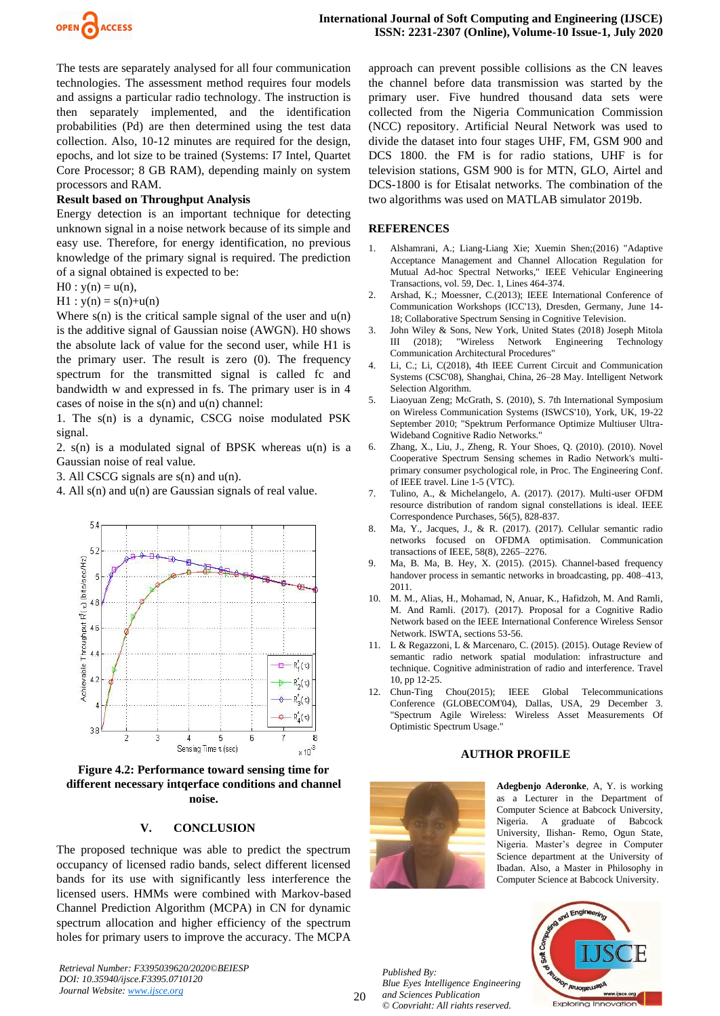

The tests are separately analysed for all four communication technologies. The assessment method requires four models and assigns a particular radio technology. The instruction is then separately implemented, and the identification probabilities (Pd) are then determined using the test data collection. Also, 10-12 minutes are required for the design, epochs, and lot size to be trained (Systems: I7 Intel, Quartet Core Processor; 8 GB RAM), depending mainly on system processors and RAM.

## **Result based on Throughput Analysis**

Energy detection is an important technique for detecting unknown signal in a noise network because of its simple and easy use. Therefore, for energy identification, no previous knowledge of the primary signal is required. The prediction of a signal obtained is expected to be:

$$
H0: y(n) = u(n),
$$

 $H1 : y(n) = s(n)+u(n)$ 

Where  $s(n)$  is the critical sample signal of the user and  $u(n)$ is the additive signal of Gaussian noise (AWGN). H0 shows the absolute lack of value for the second user, while H1 is the primary user. The result is zero (0). The frequency spectrum for the transmitted signal is called fc and bandwidth w and expressed in fs. The primary user is in 4 cases of noise in the  $s(n)$  and  $u(n)$  channel:

1. The s(n) is a dynamic, CSCG noise modulated PSK signal.

2.  $s(n)$  is a modulated signal of BPSK whereas  $u(n)$  is a Gaussian noise of real value.

3. All CSCG signals are s(n) and u(n).

4. All s(n) and u(n) are Gaussian signals of real value.



**Figure 4.2: Performance toward sensing time for different necessary intqerface conditions and channel noise.**

### **V. CONCLUSION**

The proposed technique was able to predict the spectrum occupancy of licensed radio bands, select different licensed bands for its use with significantly less interference the licensed users. HMMs were combined with Markov-based Channel Prediction Algorithm (MCPA) in CN for dynamic spectrum allocation and higher efficiency of the spectrum holes for primary users to improve the accuracy. The MCPA

*Retrieval Number: F3395039620/2020©BEIESP DOI: 10.35940/ijsce.F3395.0710120 Journal Website: [www.ijsce.org](http://www.ijsce.org/)*

approach can prevent possible collisions as the CN leaves the channel before data transmission was started by the primary user. Five hundred thousand data sets were collected from the Nigeria Communication Commission (NCC) repository. Artificial Neural Network was used to divide the dataset into four stages UHF, FM, GSM 900 and DCS 1800. the FM is for radio stations, UHF is for television stations, GSM 900 is for MTN, GLO, Airtel and DCS-1800 is for Etisalat networks. The combination of the two algorithms was used on MATLAB simulator 2019b.

#### **REFERENCES**

- 1. Alshamrani, A.; Liang-Liang Xie; Xuemin Shen;(2016) "Adaptive Acceptance Management and Channel Allocation Regulation for Mutual Ad-hoc Spectral Networks," IEEE Vehicular Engineering Transactions, vol. 59, Dec. 1, Lines 464-374.
- 2. Arshad, K.; Moessner, C.(2013); IEEE International Conference of Communication Workshops (ICC'13), Dresden, Germany, June 14- 18; Collaborative Spectrum Sensing in Cognitive Television.
- 3. John Wiley & Sons, New York, United States (2018) Joseph Mitola III (2018); "Wireless Network Engineering Technology Communication Architectural Procedures"
- 4. Li, C.; Li, C(2018), 4th IEEE Current Circuit and Communication Systems (CSC'08), Shanghai, China, 26–28 May. Intelligent Network Selection Algorithm.
- 5. Liaoyuan Zeng; McGrath, S. (2010), S. 7th International Symposium on Wireless Communication Systems (ISWCS'10), York, UK, 19-22 September 2010; "Spektrum Performance Optimize Multiuser Ultra-Wideband Cognitive Radio Networks."
- 6. Zhang, X., Liu, J., Zheng, R. Your Shoes, Q. (2010). (2010). Novel Cooperative Spectrum Sensing schemes in Radio Network's multiprimary consumer psychological role, in Proc. The Engineering Conf. of IEEE travel. Line 1-5 (VTC).
- 7. Tulino, A., & Michelangelo, A. (2017). (2017). Multi-user OFDM resource distribution of random signal constellations is ideal. IEEE Correspondence Purchases, 56(5), 828-837.
- 8. Ma, Y., Jacques, J., & R. (2017). (2017). Cellular semantic radio networks focused on OFDMA optimisation. Communication transactions of IEEE, 58(8), 2265–2276.
- 9. Ma, B. Ma, B. Hey, X. (2015). (2015). Channel-based frequency handover process in semantic networks in broadcasting, pp. 408-413, 2011.
- 10. M. M., Alias, H., Mohamad, N, Anuar, K., Hafidzoh, M. And Ramli, M. And Ramli. (2017). (2017). Proposal for a Cognitive Radio Network based on the IEEE International Conference Wireless Sensor Network. ISWTA, sections 53-56.
- 11. L & Regazzoni, L & Marcenaro, C. (2015). (2015). Outage Review of semantic radio network spatial modulation: infrastructure and technique. Cognitive administration of radio and interference. Travel 10, pp 12-25.
- 12. Chun-Ting Chou(2015); IEEE Global Telecommunications Conference (GLOBECOM'04), Dallas, USA, 29 December 3. "Spectrum Agile Wireless: Wireless Asset Measurements Of Optimistic Spectrum Usage."

### **AUTHOR PROFILE**



**Adegbenjo Aderonke**, A, Y. is working as a Lecturer in the Department of Computer Science at Babcock University, Nigeria. A graduate of Babcock University, Ilishan- Remo, Ogun State, Nigeria. Master's degree in Computer Science department at the University of Ibadan. Also, a Master in Philosophy in Computer Science at Babcock University.